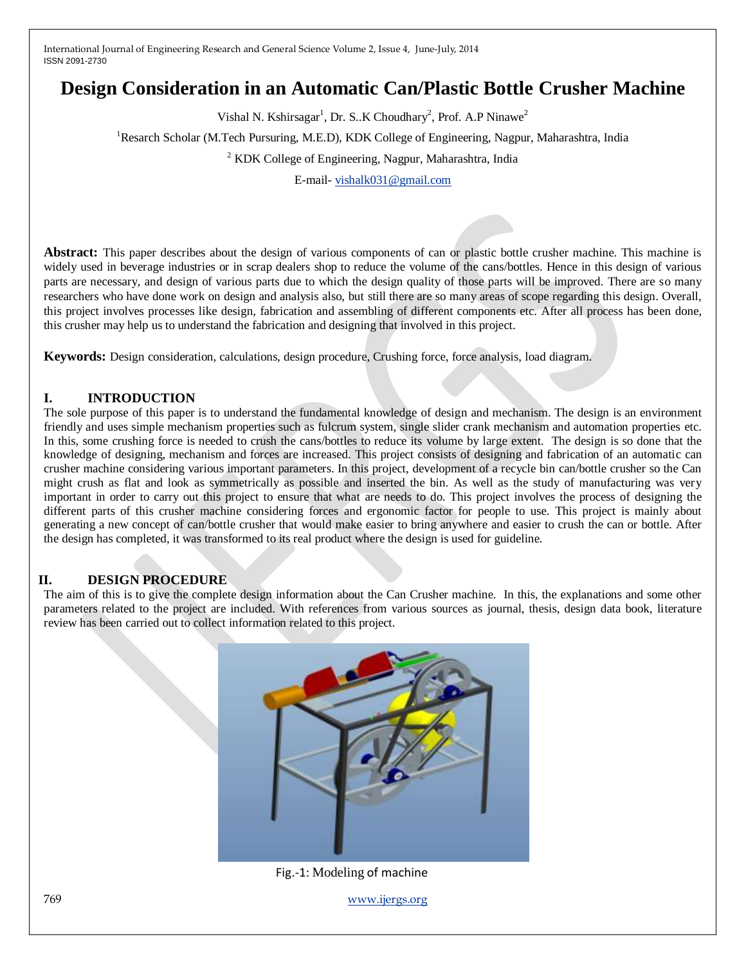# **Design Consideration in an Automatic Can/Plastic Bottle Crusher Machine**

Vishal N. Kshirsagar<sup>1</sup>, Dr. S..K Choudhary<sup>2</sup>, Prof. A.P Ninawe<sup>2</sup>

<sup>1</sup>Resarch Scholar (M.Tech Pursuring, M.E.D), KDK College of Engineering, Nagpur, Maharashtra, India

<sup>2</sup> KDK College of Engineering, Nagpur, Maharashtra, India

E-mail- [vishalk031@gmail.com](mailto:vishalk031@gmail.com)

**Abstract:** This paper describes about the design of various components of can or plastic bottle crusher machine. This machine is widely used in beverage industries or in scrap dealers shop to reduce the volume of the cans/bottles. Hence in this design of various parts are necessary, and design of various parts due to which the design quality of those parts will be improved. There are so many researchers who have done work on design and analysis also, but still there are so many areas of scope regarding this design. Overall, this project involves processes like design, fabrication and assembling of different components etc. After all process has been done, this crusher may help us to understand the fabrication and designing that involved in this project.

**Keywords:** Design consideration, calculations, design procedure, Crushing force, force analysis, load diagram.

### **I. INTRODUCTION**

The sole purpose of this paper is to understand the fundamental knowledge of design and mechanism. The design is an environment friendly and uses simple mechanism properties such as fulcrum system, single slider crank mechanism and automation properties etc. In this, some crushing force is needed to crush the cans/bottles to reduce its volume by large extent. The design is so done that the knowledge of designing, mechanism and forces are increased. This project consists of designing and fabrication of an automatic can crusher machine considering various important parameters. In this project, development of a recycle bin can/bottle crusher so the Can might crush as flat and look as symmetrically as possible and inserted the bin. As well as the study of manufacturing was very important in order to carry out this project to ensure that what are needs to do. This project involves the process of designing the different parts of this crusher machine considering forces and ergonomic factor for people to use. This project is mainly about generating a new concept of can/bottle crusher that would make easier to bring anywhere and easier to crush the can or bottle. After the design has completed, it was transformed to its real product where the design is used for guideline.

#### **II. DESIGN PROCEDURE**

The aim of this is to give the complete design information about the Can Crusher machine. In this, the explanations and some other parameters related to the project are included. With references from various sources as journal, thesis, design data book, literature review has been carried out to collect information related to this project.



Fig.-1: Modeling of machine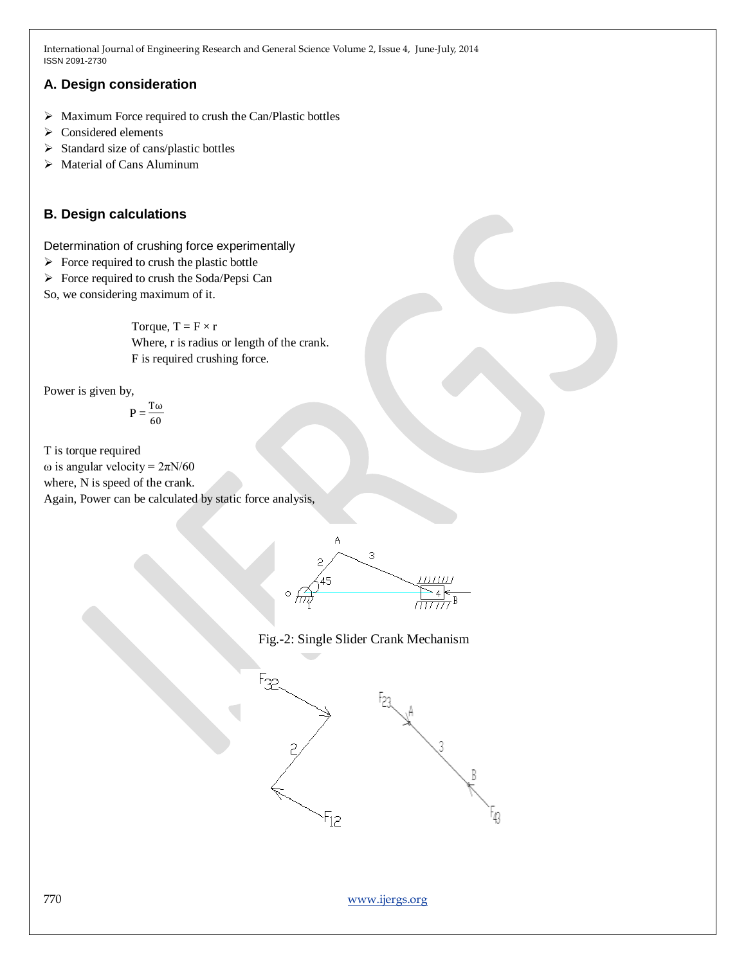### **A. Design consideration**

- $\triangleright$  Maximum Force required to crush the Can/Plastic bottles
- $\triangleright$  Considered elements
- $\triangleright$  Standard size of cans/plastic bottles
- $\triangleright$  Material of Cans Aluminum

## **B. Design calculations**

Determination of crushing force experimentally

- $\triangleright$  Force required to crush the plastic bottle
- $\triangleright$  Force required to crush the Soda/Pepsi Can

So, we considering maximum of it.

Torque,  $T = F \times r$ Where, r is radius or length of the crank. F is required crushing force.

Power is given by,

$$
\mathbf{P} = \frac{\mathbf{T}\boldsymbol{\omega}}{60}
$$

T is torque required ω is angular velocity =  $2πN/60$ where, N is speed of the crank. Again, Power can be calculated by static force analysis,





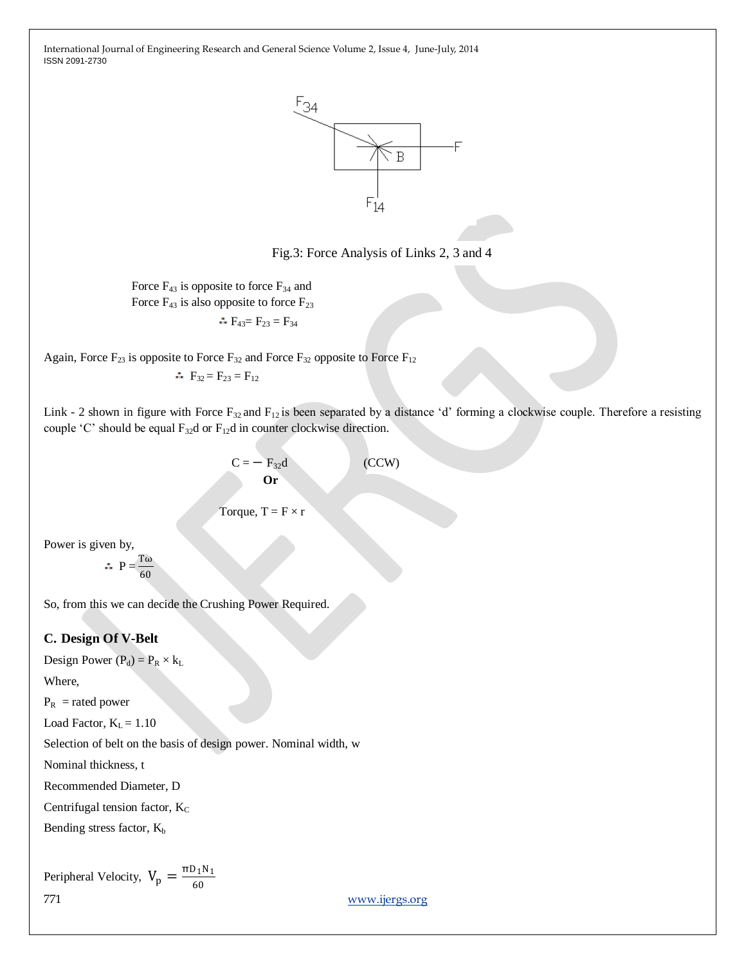

Fig.3: Force Analysis of Links 2, 3 and 4

Force  $F_{43}$  is opposite to force  $F_{34}$  and Force  $F_{43}$  is also opposite to force  $F_{23}$  $\therefore$  F<sub>43</sub> = F<sub>23</sub> = F<sub>34</sub>

Again, Force  $F_{23}$  is opposite to Force  $F_{32}$  and Force  $F_{32}$  opposite to Force  $F_{12}$ 

 $F_{32} = F_{23} = F_{12}$ 

Link - 2 shown in figure with Force F<sub>32</sub> and F<sub>12</sub> is been separated by a distance 'd' forming a clockwise couple. Therefore a resisting couple 'C' should be equal  $F_{32}d$  or  $F_{12}d$  in counter clockwise direction.

$$
C = -F_{32}d
$$
 (CCW)

Torque,  $T = F \times r$ 

Power is given by,

$$
\therefore P = \frac{T\omega}{60}
$$

So, from this we can decide the Crushing Power Required.

### **C. Design Of V-Belt**

Design Power  $(P_d) = P_R \times k_L$ 

Where,

 $P_R$  = rated power

Load Factor,  $K_L = 1.10$ 

Selection of belt on the basis of design power. Nominal width, w

Nominal thickness, t

Recommended Diameter, D

Centrifugal tension factor,  $K_C$ 

Bending stress factor,  $K_b$ 

Peripheral Velocity,  $V_p = \frac{\pi D_1 N_1}{60}$ 60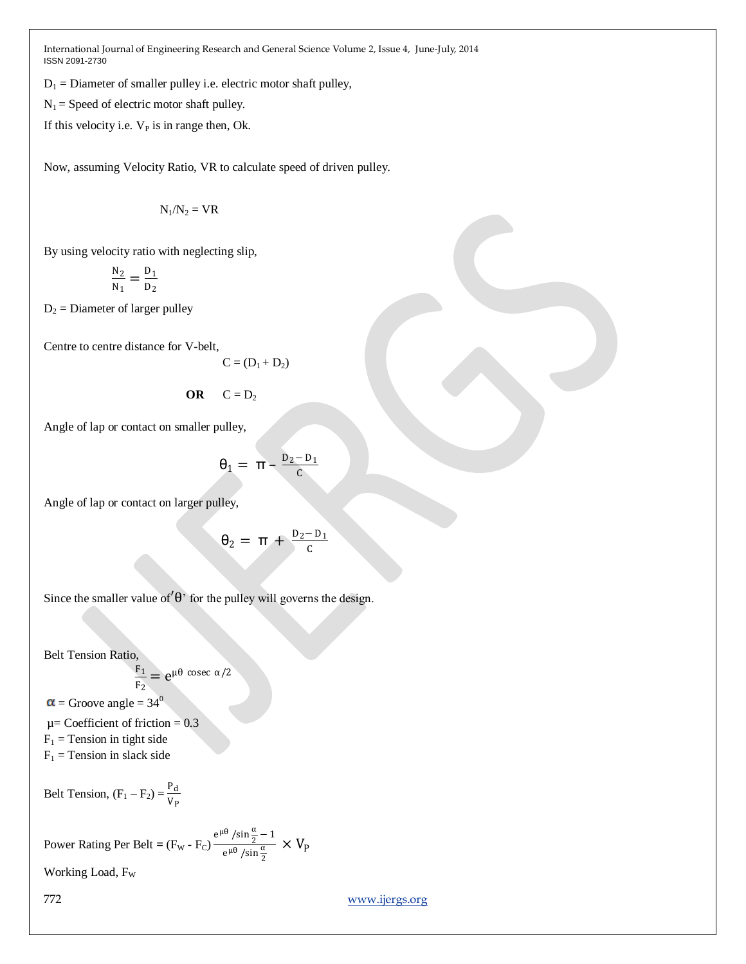$D_1$  = Diameter of smaller pulley i.e. electric motor shaft pulley,

 $N_1$  = Speed of electric motor shaft pulley.

If this velocity i.e.  $V_P$  is in range then, Ok.

Now, assuming Velocity Ratio, VR to calculate speed of driven pulley.

$$
N_1/N_2 = VR
$$

By using velocity ratio with neglecting slip,

$$
\frac{N_2}{N_1} = \frac{D_1}{D_2}
$$

 $D_2$  = Diameter of larger pulley

Centre to centre distance for V-belt,

$$
C = (D_1 + D_2)
$$

$$
\mathbf{OR} \qquad \mathbf{C} = \mathbf{D}_2
$$

Angle of lap or contact on smaller pulley,

$$
\theta_1 = \pi - \frac{D_2 - D_1}{C}
$$

Angle of lap or contact on larger pulley,

$$
\theta_2 = \pi + \frac{D_2 - D_1}{C}
$$

Since the smaller value of  $\theta$ <sup>'</sup> for the pulley will governs the design.

Belt Tension Ratio,

$$
\frac{F_1}{F_2}=e^{\mu\theta\,\csc\,\alpha/2}
$$

 $=$  Groove angle  $= 34^{\circ}$ 

 $\mu$ = Coefficient of friction = 0.3  $F_1$  = Tension in tight side  $F_1$  = Tension in slack side

Belt Tension,  $(F_1 - F_2) = \frac{P_d}{V}$ VP

Power Rating Per Belt = 
$$
(F_w - F_C) \frac{e^{\mu \theta} / \sin \frac{\alpha}{2} - 1}{e^{\mu \theta} / \sin \frac{\alpha}{2}} \times V_P
$$

Working Load, F<sub>W</sub>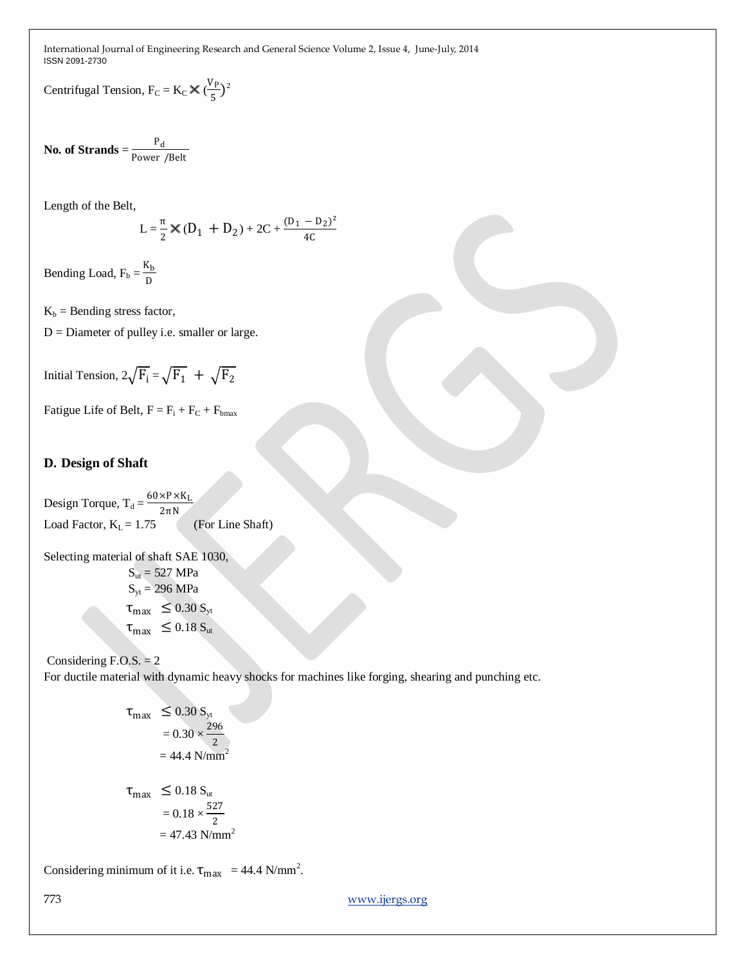Centrifugal Tension,  $F_C = K_C \times (\frac{V_P}{F_C})$  $(\frac{P}{5})^2$ 

No. of Strands  $=$   $\frac{P_d}{P_d}$ Power /Belt

Length of the Belt,

$$
L = \frac{\pi}{2} \times (D_1 + D_2) + 2C + \frac{(D_1 - D_2)^2}{4C}
$$

Bending Load,  $F_b = \frac{K_b}{D}$ D

 $K_b$  = Bending stress factor,

 $D =$  Diameter of pulley i.e. smaller or large.

Initial Tension,  $2\sqrt{F_1} = \sqrt{F_1} + \sqrt{F_2}$ 

Fatigue Life of Belt,  $F = F_i + F_C + F_{bmax}$ 

#### **D. Design of Shaft**

Design Torque,  $T_d = \frac{60 \times P \times K_L}{2-N}$ 2πN Load Factor,  $K_L = 1.75$  (For Line Shaft)

Selecting material of shaft SAE 1030,  $S_{ut} = 527$  MPa  $S_{yt} = 296$  MPa  $\tau_{\text{max}} \leq 0.30 S_{\text{yt}}$  $\tau_{\text{max}} \leq 0.18 S_{\text{ut}}$ 

#### Considering  $F.O.S. = 2$

For ductile material with dynamic heavy shocks for machines like forging, shearing and punching etc.

$$
\tau_{\text{max}} \le 0.30 \, \text{S}_{\text{yt}}
$$
  
= 0.30 ×  $\frac{296}{2}$   
= 44.4 N/mm<sup>2</sup>  

$$
\tau_{\text{max}} \le 0.18 \, \text{S}_{\text{ut}}
$$
  
= 0.18 ×  $\frac{527}{2}$   
= 47.43 N/mm<sup>2</sup>

Considering minimum of it i.e.  $\tau_{\text{max}} = 44.4 \text{ N/mm}^2$ .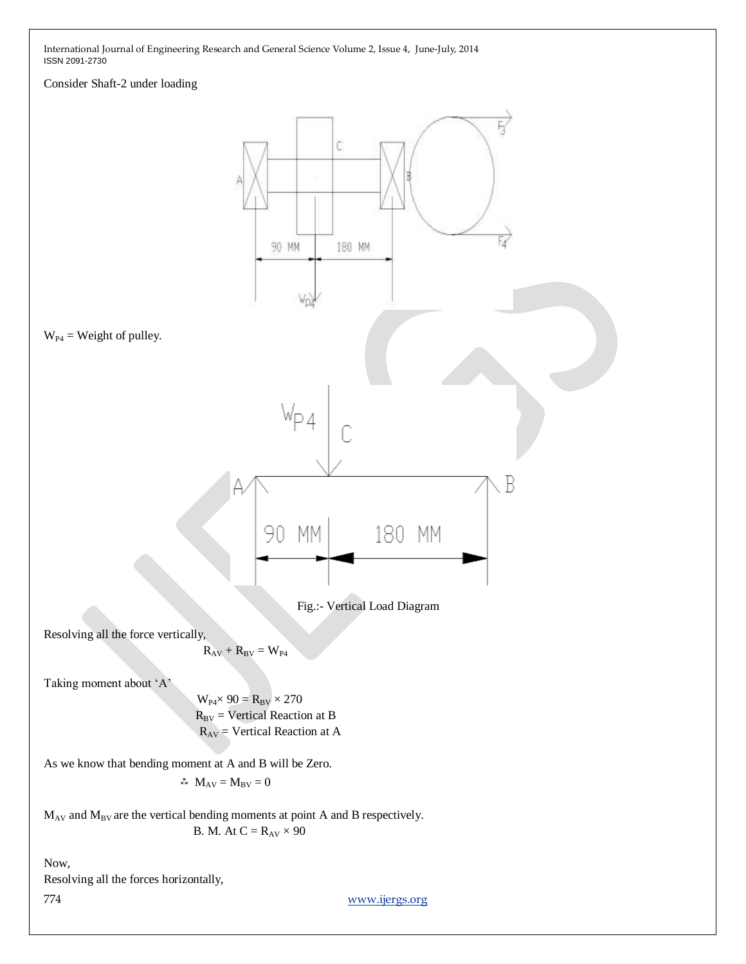#### Consider Shaft-2 under loading

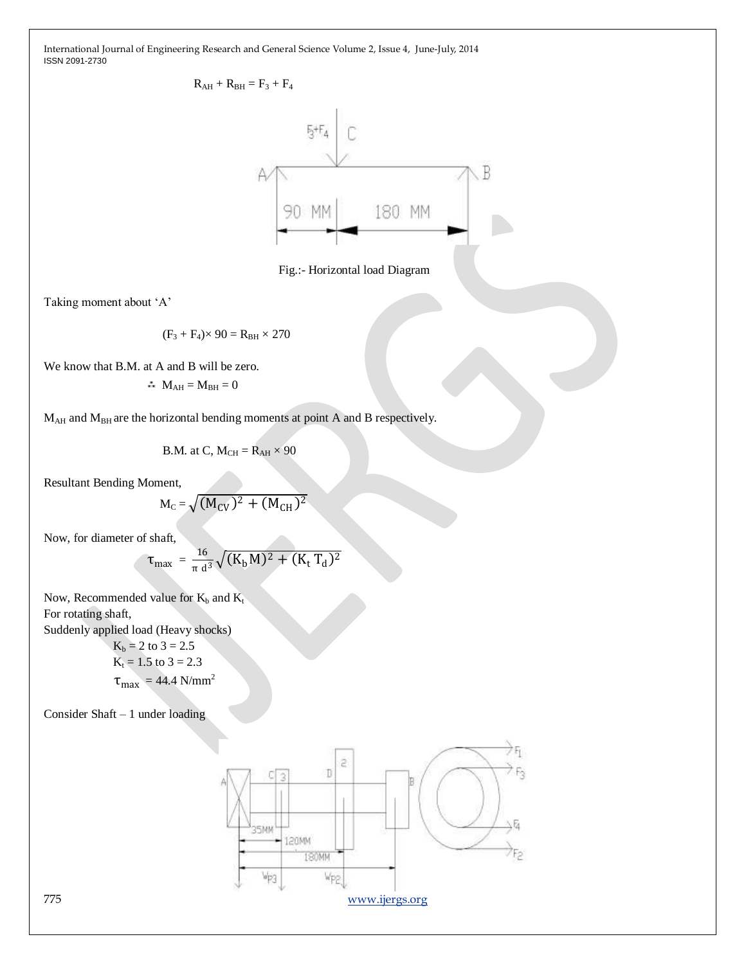

Fig.:- Horizontal load Diagram

Taking moment about 'A'

$$
(\mathrm{F}_3 + \mathrm{F}_4) \times 90 = \mathrm{R}_{\mathrm{BH}} \times 270
$$

We know that B.M. at A and B will be zero.

$$
\therefore \mathbf{M}_{\text{AH}} = \mathbf{M}_{\text{BH}} = 0
$$

 $M_{AH}$  and  $M_{BH}$  are the horizontal bending moments at point A and B respectively.

B.M. at C, 
$$
M_{CH} = R_{AH} \times 90
$$

Resultant Bending Moment,

$$
M_{C} = \sqrt{(M_{CV})^2 + (M_{CH})^2}
$$

Now, for diameter of shaft,

$$
\tau_{\text{max}} = \frac{16}{\pi d^3} \sqrt{(K_b M)^2 + (K_t T_d)^2}
$$

Now, Recommended value for  $K_b$  and  $K_t$ For rotating shaft, Suddenly applied load (Heavy shocks)

 $K_b = 2$  to 3 = 2.5  $K_t = 1.5$  to  $3 = 2.3$  $\tau_{\text{max}} = 44.4 \text{ N/mm}^2$ 

Consider Shaft – 1 under loading

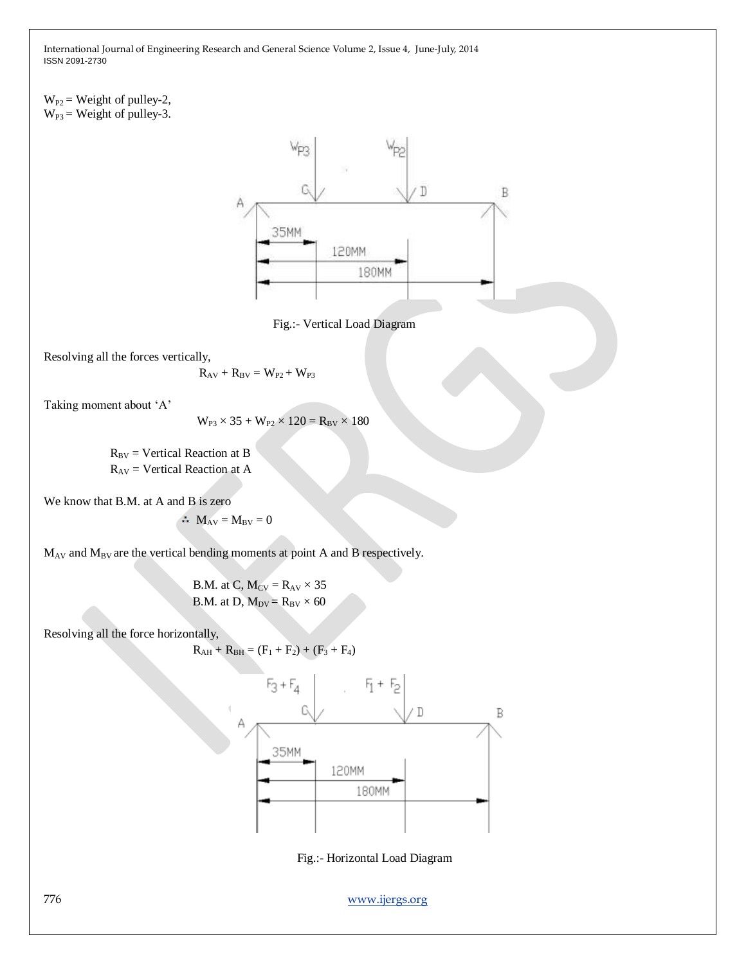$W_{P2}$  = Weight of pulley-2,  $W_{P3}$  = Weight of pulley-3.



Fig.:- Vertical Load Diagram

Resolving all the forces vertically,

$$
\mathbf{R}_{\mathrm{AV}} + \mathbf{R}_{\mathrm{BV}} = \mathbf{W}_{\mathrm{P2}} + \mathbf{W}_{\mathrm{P3}}
$$

Taking moment about 'A'

$$
W_{P3}\times 35+W_{P2}\times 120=R_{BV}\times 180
$$

 $R_{BV}$  = Vertical Reaction at B  $R_{AV}$  = Vertical Reaction at A

We know that B.M. at A and B is zero

$$
\therefore \mathbf{M}_{\mathrm{AV}} = \mathbf{M}_{\mathrm{BV}} = \mathbf{0}
$$

 $M_{AV}$  and  $M_{BV}$  are the vertical bending moments at point A and B respectively.

B.M. at C,  $M_{CV} = R_{AV} \times 35$ B.M. at D,  $M_{DV} = R_{BV} \times 60$ 

Resolving all the force horizontally,

$$
R_{AH} + R_{BH} = (F_1 + F_2) + (F_3 + F_4)
$$



Fig.:- Horizontal Load Diagram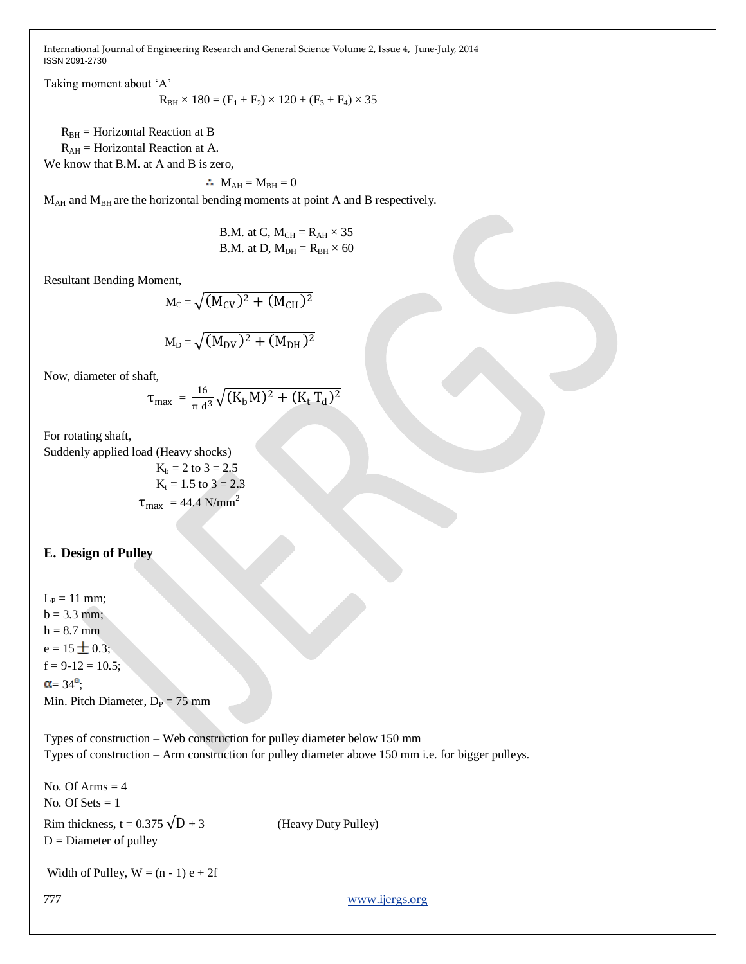Taking moment about 'A'

$$
R_{BH} \times 180 = (F_1 + F_2) \times 120 + (F_3 + F_4) \times 35
$$

 $R_{BH}$  = Horizontal Reaction at B

 $R_{AH}$  = Horizontal Reaction at A.

We know that B.M. at A and B is zero,

 $\mathbf{M}_{\text{AH}} = M_{\text{BH}} = 0$ 

 $M_{AH}$  and  $M_{BH}$  are the horizontal bending moments at point A and B respectively.

B.M. at C,  $M_{CH} = R_{AH} \times 35$ B.M. at D,  $M_{DH} = R_{BH} \times 60$ 

Resultant Bending Moment,

$$
M_{C} = \sqrt{(M_{CV})^2 + (M_{CH})^2}
$$

$$
M_D = \sqrt{(M_{DV})^2 + (M_{DH})^2}
$$

Now, diameter of shaft,

$$
\tau_{\text{max}} = \frac{16}{\pi d^3} \sqrt{(K_b M)^2 + (K_t T_d)^2}
$$

For rotating shaft,

Suddenly applied load (Heavy shocks)

$$
K_b = 2 \text{ to } 3 = 2.5
$$
  

$$
K_t = 1.5 \text{ to } 3 = 2.3
$$
  

$$
\tau_{\text{max}} = 44.4 \text{ N/mm}^2
$$

#### **E. Design of Pulley**

 $L_P = 11$  mm;  $b = 3.3$  mm;  $h = 8.7$  mm  $e = 15 \pm 0.3$ ;  $f = 9-12 = 10.5$ ;  $\alpha = 34^\circ$ ; Min. Pitch Diameter,  $D_P = 75$  mm

Types of construction – Web construction for pulley diameter below 150 mm Types of construction – Arm construction for pulley diameter above 150 mm i.e. for bigger pulleys.

```
777 www.ijergs.org
No. Of Arms = 4No. Of Sets = 1Rim thickness, t = 0.375 \sqrt{D} + 3 (Heavy Duty Pulley)
D =Diameter of pulley
Width of Pulley, W = (n - 1) e + 2f
```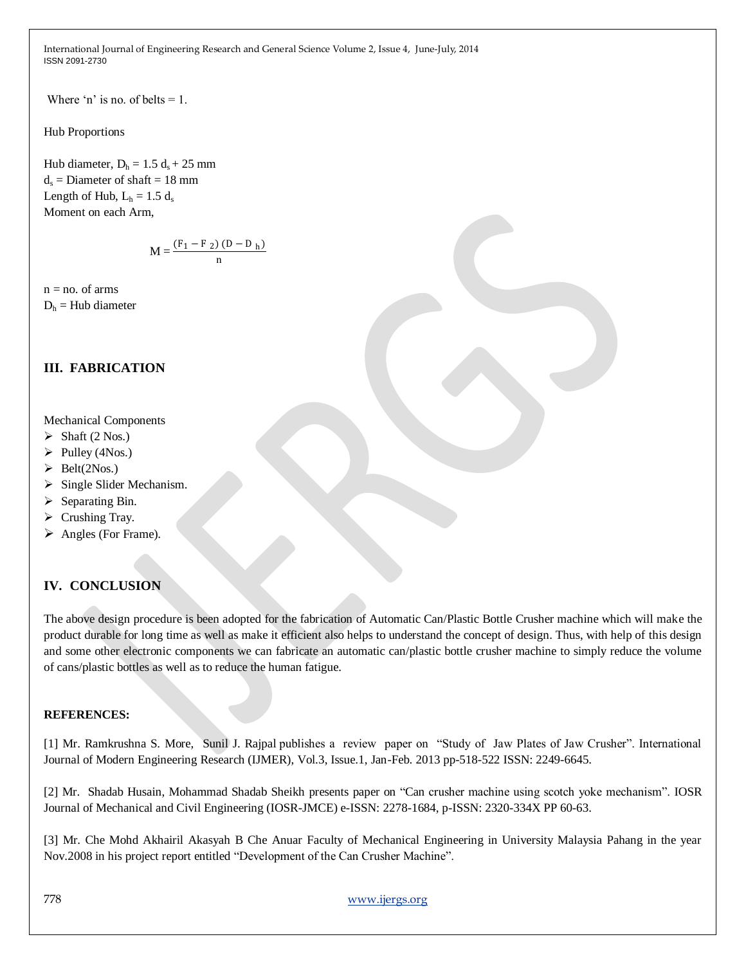Where 'n' is no. of belts  $= 1$ .

Hub Proportions

Hub diameter,  $D_h = 1.5 d_s + 25$  mm  $d_s$  = Diameter of shaft = 18 mm Length of Hub,  $L_h = 1.5 d_s$ Moment on each Arm,

$$
M = \frac{(F_1 - F_2) (D - D_h)}{n}
$$

 $n = no$ . of arms

 $D<sub>h</sub>$  = Hub diameter

# **III. FABRICATION**

#### Mechanical Components

- $\triangleright$  Shaft (2 Nos.)
- $\triangleright$  Pulley (4Nos.)
- $\blacktriangleright$  Belt(2Nos.)
- $\triangleright$  Single Slider Mechanism.
- $\triangleright$  Separating Bin.
- $\triangleright$  Crushing Tray.
- $\triangleright$  Angles (For Frame).

### **IV. CONCLUSION**

The above design procedure is been adopted for the fabrication of Automatic Can/Plastic Bottle Crusher machine which will make the product durable for long time as well as make it efficient also helps to understand the concept of design. Thus, with help of this design and some other electronic components we can fabricate an automatic can/plastic bottle crusher machine to simply reduce the volume of cans/plastic bottles as well as to reduce the human fatigue.

#### **REFERENCES:**

[1] Mr. Ramkrushna S. More, Sunil J. Rajpal publishes a review paper on "Study of Jaw Plates of Jaw Crusher". International Journal of Modern Engineering Research (IJMER), Vol.3, Issue.1, Jan-Feb. 2013 pp-518-522 ISSN: 2249-6645.

[2] Mr. Shadab Husain, Mohammad Shadab Sheikh presents paper on "Can crusher machine using scotch yoke mechanism". IOSR Journal of Mechanical and Civil Engineering (IOSR-JMCE) e-ISSN: 2278-1684, p-ISSN: 2320-334X PP 60-63.

[3] Mr. Che Mohd Akhairil Akasyah B Che Anuar Faculty of Mechanical Engineering in University Malaysia Pahang in the year Nov.2008 in his project report entitled "Development of the Can Crusher Machine".